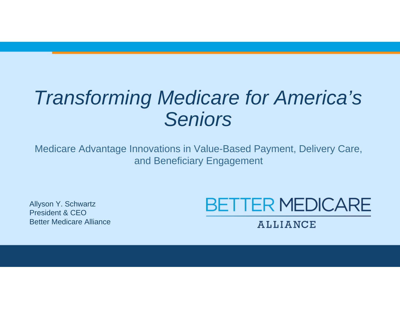# *Transforming Medicare for America's Seniors*

Medicare Advantage Innovations in Value-Based Payment, Delivery Care, and Beneficiary Engagement

Allyson Y. Schwartz President & CEOBetter Medicare Alliance



**ALLIANCE**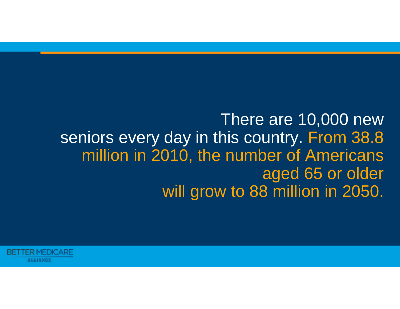There are 10,000 new seniors every day in this country. From 38.8 million in 2010, the number of Americans aged 65 or older will grow to 88 million in 2050.

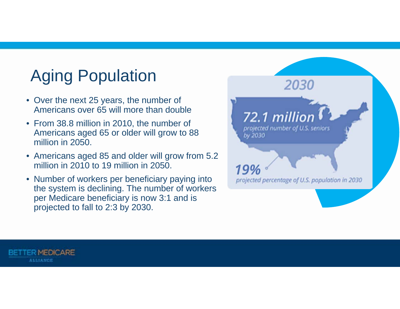# Aging Population

- Over the next 25 years, the number of Americans over 65 will more than double
- From 38.8 million in 2010, the number of Americans aged 65 or older will grow to 88 million in 2050.
- Americans aged 85 and older will grow from 5.2 million in 2010 to 19 million in 2050.
- Number of workers per beneficiary paying into the system is declining. The number of workers per Medicare beneficiary is now 3:1 and is projected to fall to 2:3 by 2030.



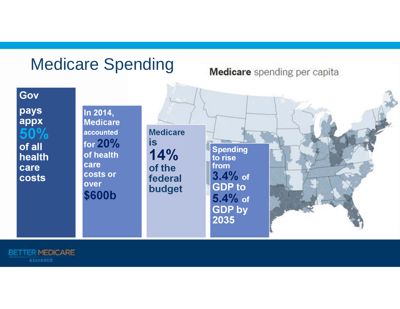#### Medicare Spending

**Medicare** spending per capita

Gov

pays appx  $50%$ of all health care costs

**BETTER MEDICARE ALLIANCE** 

In 2014, **Medicare** accounted for  $20%$ of health care costs or over \$600b

**Medicare** is  $14%$ of the federal budget

**Spending** to rise from  $3.4%$  of **GDP** to  $5.4%$  of **GDP by** 2035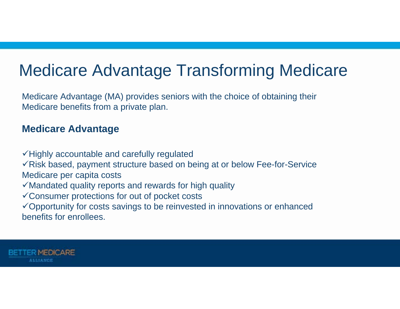## Medicare Advantage Transforming Medicare

Medicare Advantage (MA) provides seniors with the choice of obtaining their Medicare benefits from a private plan.

#### **Medicare Advantage**

 $\checkmark$  Highly accountable and carefully regulated

 $\sqrt{ }$ Risk based, payment structure based on being at or below Fee-for-Service Medicare per capita costs

- $\checkmark$  Mandated quality reports and rewards for high quality
- $\checkmark$  Consumer protections for out of pocket costs

 $\checkmark$  Opportunity for costs savings to be reinvested in innovations or enhanced benefits for enrollees.

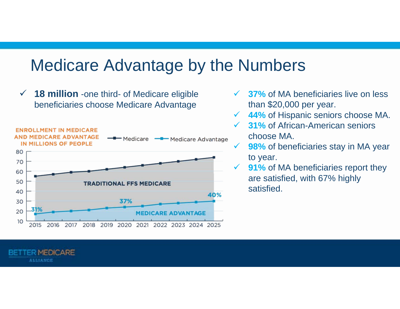#### Medicare Advantage by the Numbers

 $\checkmark$  **18 million** -one third- of Medicare eligible beneficiaries choose Medicare Advantage



MEDICARE

**ALLIANCE** 

- $\checkmark$  **37%** of MA beneficiaries live on less than \$20,000 per year.
- $\checkmark$ **44%** of Hispanic seniors choose MA.
- **31%** of African-American seniors choose MA.
	- **98%** of beneficiaries stay in MA year to year.
- $\checkmark$  **91%** of MA beneficiaries report they are satisfied, with 67% highly satisfied.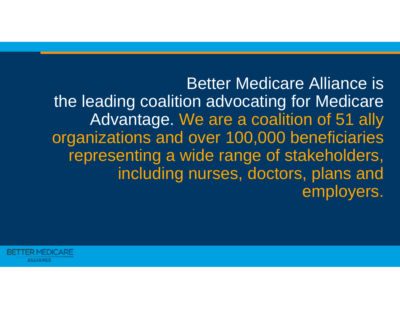Better Medicare Alliance is the leading coalition advocating for Medicare Advantage. We are a coalition of 51 ally organizations and over 100,000 beneficiaries representing a wide range of stakeholders, including nurses, doctors, plans and employers.

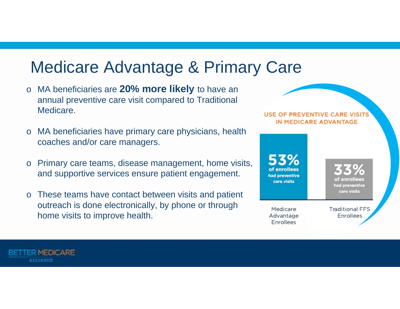## Medicare Advantage & Primary Care

- <sup>o</sup>MA beneficiaries are **20% more likely** to have an annual preventive care visit compared to Traditional **Medicare**
- MA beneficiaries have primary care physicians, health coaches and/or care managers.
- Primary care teams, disease management, home visits, and supportive services ensure patient engagement.
- These teams have contact between visits and patient outreach is done electronically, by phone or through home visits to improve health.

MEDICARE

**ALLIANCE** 

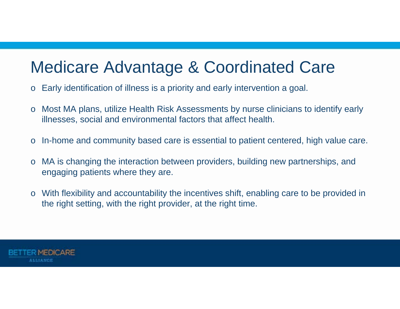### Medicare Advantage & Coordinated Care

- <sup>o</sup>Early identification of illness is a priority and early intervention a goal.
- o Most MA plans, utilize Health Risk Assessments by nurse clinicians to identify early illnesses, social and environmental factors that affect health.
- o In-home and community based care is essential to patient centered, high value care.
- <sup>o</sup>MA is changing the interaction between providers, building new partnerships, and engaging patients where they are.
- <sup>o</sup>With flexibility and accountability the incentives shift, enabling care to be provided in the right setting, with the right provider, at the right time.

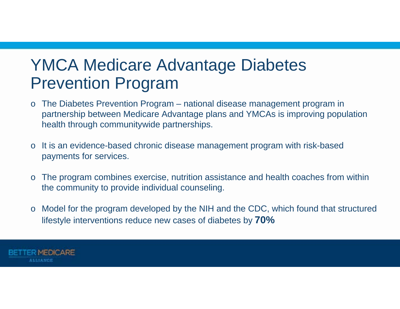### YMCA Medicare Advantage Diabetes Prevention Program

- $\circ$  The Diabetes Prevention Program national disease management program in partnership between Medicare Advantage plans and YMCAs is improving population health through communitywide partnerships.
- $\circ$  It is an evidence-based chronic disease management program with risk-based payments for services.
- <sup>o</sup>The program combines exercise, nutrition assistance and health coaches from within the community to provide individual counseling.
- $\circ$  Model for the program developed by the NIH and the CDC, which found that structured lifestyle interventions reduce new cases of diabetes by **70%**

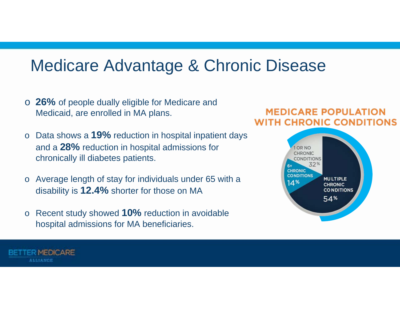#### Medicare Advantage & Chronic Disease

- <sup>o</sup>**26%** of people dually eligible for Medicare and Medicaid, are enrolled in MA plans.
- <sup>o</sup>Data shows a **19%** reduction in hospital inpatient days and a **28%** reduction in hospital admissions for chronically ill diabetes patients.
- Average length of stay for individuals under 65 with a disability is **12.4%** shorter for those on MA
- <sup>o</sup>Recent study showed **10%** reduction in avoidable hospital admissions for MA beneficiaries.

#### **MEDICARE POPULATION WITH CHRONIC CONDITIONS**



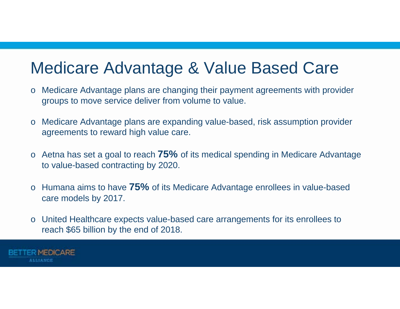#### Medicare Advantage & Value Based Care

- <sup>o</sup>Medicare Advantage plans are changing their payment agreements with provider groups to move service deliver from volume to value.
- <sup>o</sup>Medicare Advantage plans are expanding value-based, risk assumption provider agreements to reward high value care.
- <sup>o</sup>Aetna has set a goal to reach **75%** of its medical spending in Medicare Advantage to value-based contracting by 2020.
- <sup>o</sup>Humana aims to have **75%** of its Medicare Advantage enrollees in value-based care models by 2017.
- <sup>o</sup>United Healthcare expects value-based care arrangements for its enrollees to reach \$65 billion by the end of 2018.

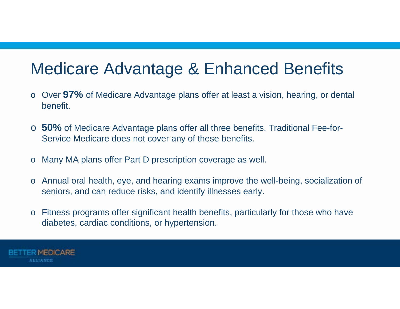#### Medicare Advantage & Enhanced Benefits

- o Over 97% of Medicare Advantage plans offer at least a vision, hearing, or dental benefit.
- o **50%** of Medicare Advantage plans offer all three benefits. Traditional Fee-for-Service Medicare does not cover any of these benefits.
- o Many MA plans offer Part D prescription coverage as well.
- o Annual oral health, eye, and hearing exams improve the well-being, socialization of seniors, and can reduce risks, and identify illnesses early.
- $\circ$  Fitness programs offer significant health benefits, particularly for those who have diabetes, cardiac conditions, or hypertension.

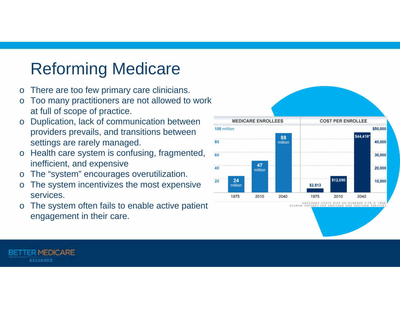## Reforming Medicare

- <sup>o</sup>There are too few primary care clinicians.
- $\circ$  Too many practitioners are not allowed to work at full of scope of practice.
- o Duplication, lack of communication between providers prevails, and transitions between settings are rarely managed.
- $\circ$  Health care system is confusing, fragmented, inefficient, and expensive
- <sup>o</sup>The "system" encourages overutilization.

**MEDICARE** 

**ALLIANCE** 

- <sup>o</sup>The system incentivizes the most expensive services.
- $\circ$  The system often fails to enable active patient engagement in their care.



\*ASSUMES COSTS RISE ON AVERAGE 4.7% A SOURCE: CENTERS FOR MEDICARE AND MEDICAID SERVI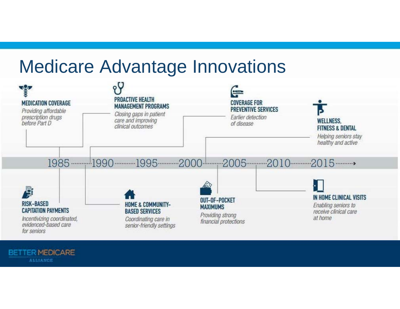# Medicare Advantage Innovations